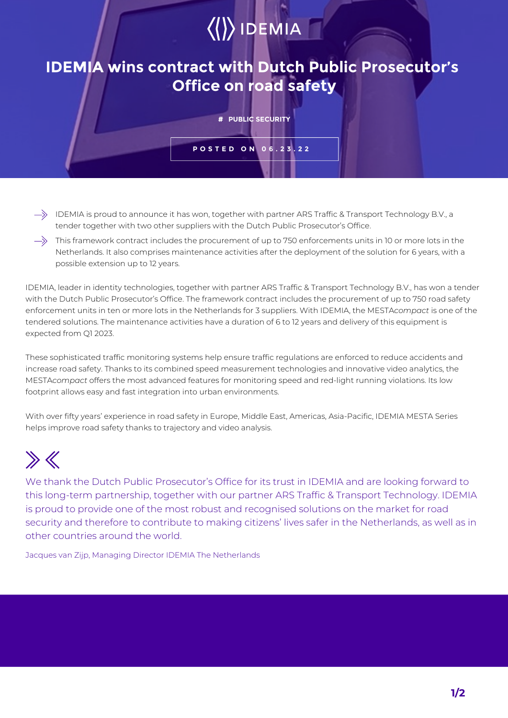## $\langle\langle\rangle\rangle$  IDEMIA

## **IDEMIA wins contract with Dutch Public Prosecutor's Office on road safety**

**# PUBLIC SECURITY**

**POSTED ON 06.23.22**

- $\Rightarrow$  IDEMIA is proud to announce it has won, together with partner ARS Traffic & Transport Technology B.V., a tender together with two other suppliers with the Dutch Public Prosecutor's Office.
- $\rightarrow$  This framework contract includes the procurement of up to 750 enforcements units in 10 or more lots in the Netherlands. It also comprises maintenance activities after the deployment of the solution for 6 years, with a possible extension up to 12 years.

IDEMIA, leader in identity technologies, together with partner ARS Traffic & Transport Technology B.V., has won a tender with the Dutch Public Prosecutor's Office. The framework contract includes the procurement of up to 750 road safety enforcement units in ten or more lots in the Netherlands for 3 suppliers. With IDEMIA, the MESTA*compact* is one of the tendered solutions. The maintenance activities have a duration of 6 to 12 years and delivery of this equipment is expected from Q1 2023.

These sophisticated traffic monitoring systems help ensure traffic regulations are enforced to reduce accidents and increase road safety. Thanks to its combined speed measurement technologies and innovative video analytics, the MESTA*compact* offers the most advanced features for monitoring speed and red-light running violations. Its low footprint allows easy and fast integration into urban environments.

With over fifty years' experience in road safety in Europe, Middle East, Americas, Asia-Pacific, IDEMIA MESTA Series helps improve road safety thanks to trajectory and video analysis.

## $\gg K$

We thank the Dutch Public Prosecutor's Office for its trust in IDEMIA and are looking forward to this long-term partnership, together with our partner ARS Traffic & Transport Technology. IDEMIA is proud to provide one of the most robust and recognised solutions on the market for road security and therefore to contribute to making citizens' lives safer in the Netherlands, as well as in other countries around the world.

Jacques van Zijp, Managing Director IDEMIA The Netherlands